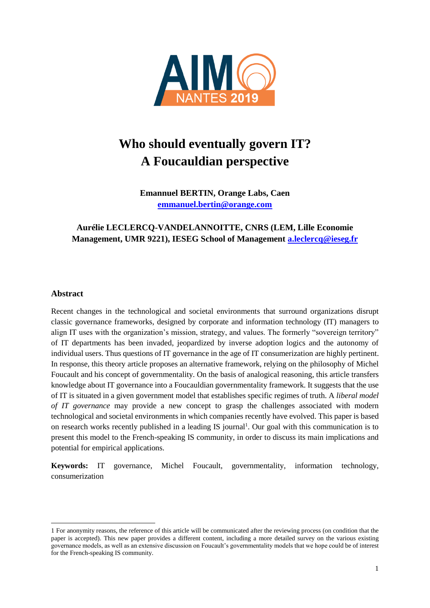

# **Who should eventually govern IT? A Foucauldian perspective**

**Emannuel BERTIN, Orange Labs, Caen [emmanuel.bertin@orange.com](mailto:emmanuel.bertin@orange.com)**

# **Aurélie LECLERCQ-VANDELANNOITTE, CNRS (LEM, Lille Economie Management, UMR 9221), IESEG School of Management [a.leclercq@ieseg.fr](mailto:a.leclercq@oeseg.fr)**

## **Abstract**

1

Recent changes in the technological and societal environments that surround organizations disrupt classic governance frameworks, designed by corporate and information technology (IT) managers to align IT uses with the organization's mission, strategy, and values. The formerly "sovereign territory" of IT departments has been invaded, jeopardized by inverse adoption logics and the autonomy of individual users. Thus questions of IT governance in the age of IT consumerization are highly pertinent. In response, this theory article proposes an alternative framework, relying on the philosophy of Michel Foucault and his concept of governmentality. On the basis of analogical reasoning, this article transfers knowledge about IT governance into a Foucauldian governmentality framework. It suggests that the use of IT is situated in a given government model that establishes specific regimes of truth. A *liberal model of IT governance* may provide a new concept to grasp the challenges associated with modern technological and societal environments in which companies recently have evolved. This paper is based on research works recently published in a leading IS journal<sup>1</sup>. Our goal with this communication is to present this model to the French-speaking IS community, in order to discuss its main implications and potential for empirical applications.

**Keywords:** IT governance, Michel Foucault, governmentality, information technology, consumerization

<sup>1</sup> For anonymity reasons, the reference of this article will be communicated after the reviewing process (on condition that the paper is accepted). This new paper provides a different content, including a more detailed survey on the various existing governance models, as well as an extensive discussion on Foucault's governmentality models that we hope could be of interest for the French-speaking IS community.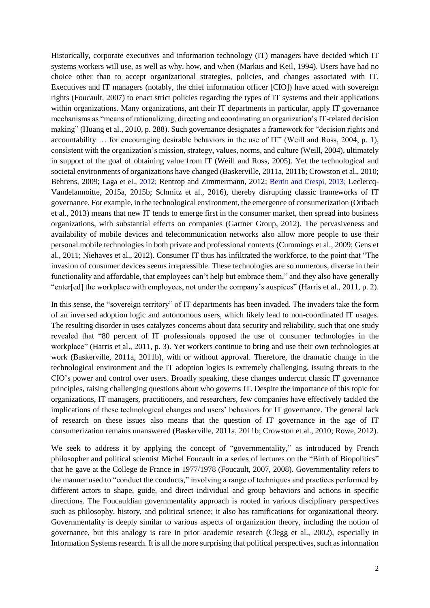Historically, corporate executives and information technology (IT) managers have decided which IT systems workers will use, as well as why, how, and when (Markus and Keil, 1994). Users have had no choice other than to accept organizational strategies, policies, and changes associated with IT. Executives and IT managers (notably, the chief information officer [CIO]) have acted with sovereign rights (Foucault, 2007) to enact strict policies regarding the types of IT systems and their applications within organizations. Many organizations, ant their IT departments in particular, apply IT governance mechanisms as "means of rationalizing, directing and coordinating an organization's IT-related decision making" (Huang et al., 2010, p. 288). Such governance designates a framework for "decision rights and accountability … for encouraging desirable behaviors in the use of IT" (Weill and Ross, 2004, p. 1), consistent with the organization's mission, strategy, values, norms, and culture (Weill, 2004), ultimately in support of the goal of obtaining value from IT (Weill and Ross, 2005). Yet the technological and societal environments of organizations have changed (Baskerville, 2011a, 2011b; Crowston et al., 2010; Behrens, 2009; Laga et el., 2012; Rentrop and Zimmermann, 2012; Bertin and Crespi, 2013; Leclercq-Vandelannoitte, 2015a, 2015b; Schmitz et al., 2016), thereby disrupting classic frameworks of IT governance. For example, in the technological environment, the emergence of consumerization (Ortbach et al., 2013) means that new IT tends to emerge first in the consumer market, then spread into business organizations, with substantial effects on companies (Gartner Group, 2012). The pervasiveness and availability of mobile devices and telecommunication networks also allow more people to use their personal mobile technologies in both private and professional contexts (Cummings et al., 2009; Gens et al., 2011; Niehaves et al., 2012). Consumer IT thus has infiltrated the workforce, to the point that "The invasion of consumer devices seems irrepressible. These technologies are so numerous, diverse in their functionality and affordable, that employees can't help but embrace them," and they also have generally "enter[ed] the workplace with employees, not under the company's auspices" (Harris et al., 2011, p. 2).

In this sense, the "sovereign territory" of IT departments has been invaded. The invaders take the form of an inversed adoption logic and autonomous users, which likely lead to non-coordinated IT usages. The resulting disorder in uses catalyzes concerns about data security and reliability, such that one study revealed that "80 percent of IT professionals opposed the use of consumer technologies in the workplace" (Harris et al., 2011, p. 3). Yet workers continue to bring and use their own technologies at work (Baskerville, 2011a, 2011b), with or without approval. Therefore, the dramatic change in the technological environment and the IT adoption logics is extremely challenging, issuing threats to the CIO's power and control over users. Broadly speaking, these changes undercut classic IT governance principles, raising challenging questions about who governs IT. Despite the importance of this topic for organizations, IT managers, practitioners, and researchers, few companies have effectively tackled the implications of these technological changes and users' behaviors for IT governance. The general lack of research on these issues also means that the question of IT governance in the age of IT consumerization remains unanswered (Baskerville, 2011a, 2011b; Crowston et al., 2010; Rowe, 2012).

We seek to address it by applying the concept of "governmentality," as introduced by French philosopher and political scientist Michel Foucault in a series of lectures on the "Birth of Biopolitics" that he gave at the College de France in 1977/1978 (Foucault, 2007, 2008). Governmentality refers to the manner used to "conduct the conducts," involving a range of techniques and practices performed by different actors to shape, guide, and direct individual and group behaviors and actions in specific directions. The Foucauldian governmentality approach is rooted in various disciplinary perspectives such as philosophy, history, and political science; it also has ramifications for organizational theory. Governmentality is deeply similar to various aspects of organization theory, including the notion of governance, but this analogy is rare in prior academic research (Clegg et al., 2002), especially in Information Systems research. It is all the more surprising that political perspectives, such as information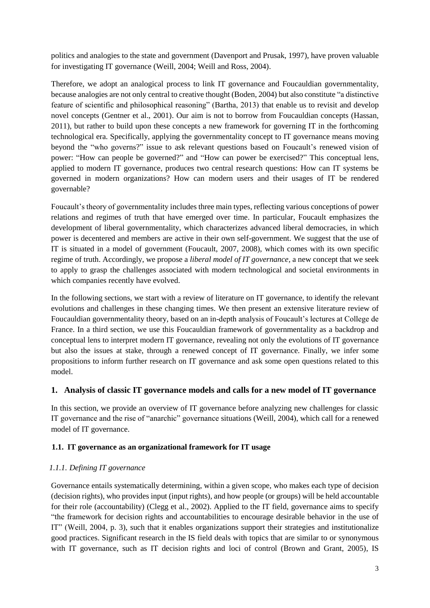politics and analogies to the state and government (Davenport and Prusak, 1997), have proven valuable for investigating IT governance (Weill, 2004; Weill and Ross, 2004).

Therefore, we adopt an analogical process to link IT governance and Foucauldian governmentality, because analogies are not only central to creative thought (Boden, 2004) but also constitute "a distinctive feature of scientific and philosophical reasoning" (Bartha, 2013) that enable us to revisit and develop novel concepts (Gentner et al., 2001). Our aim is not to borrow from Foucauldian concepts (Hassan, 2011), but rather to build upon these concepts a new framework for governing IT in the forthcoming technological era. Specifically, applying the governmentality concept to IT governance means moving beyond the "who governs?" issue to ask relevant questions based on Foucault's renewed vision of power: "How can people be governed?" and "How can power be exercised?" This conceptual lens, applied to modern IT governance, produces two central research questions: How can IT systems be governed in modern organizations? How can modern users and their usages of IT be rendered governable?

Foucault's theory of governmentality includes three main types, reflecting various conceptions of power relations and regimes of truth that have emerged over time. In particular, Foucault emphasizes the development of liberal governmentality, which characterizes advanced liberal democracies, in which power is decentered and members are active in their own self-government. We suggest that the use of IT is situated in a model of government (Foucault, 2007, 2008), which comes with its own specific regime of truth. Accordingly, we propose a *liberal model of IT governance,* a new concept that we seek to apply to grasp the challenges associated with modern technological and societal environments in which companies recently have evolved.

In the following sections, we start with a review of literature on IT governance, to identify the relevant evolutions and challenges in these changing times. We then present an extensive literature review of Foucauldian governmentality theory, based on an in-depth analysis of Foucault's lectures at College de France. In a third section, we use this Foucauldian framework of governmentality as a backdrop and conceptual lens to interpret modern IT governance, revealing not only the evolutions of IT governance but also the issues at stake, through a renewed concept of IT governance. Finally, we infer some propositions to inform further research on IT governance and ask some open questions related to this model.

# **1. Analysis of classic IT governance models and calls for a new model of IT governance**

In this section, we provide an overview of IT governance before analyzing new challenges for classic IT governance and the rise of "anarchic" governance situations (Weill, 2004), which call for a renewed model of IT governance.

# **1.1. IT governance as an organizational framework for IT usage**

# *1.1.1. Defining IT governance*

Governance entails systematically determining, within a given scope, who makes each type of decision (decision rights), who provides input (input rights), and how people (or groups) will be held accountable for their role (accountability) (Clegg et al., 2002). Applied to the IT field, governance aims to specify "the framework for decision rights and accountabilities to encourage desirable behavior in the use of IT" (Weill, 2004, p. 3), such that it enables organizations support their strategies and institutionalize good practices. Significant research in the IS field deals with topics that are similar to or synonymous with IT governance, such as IT decision rights and loci of control (Brown and Grant, 2005), IS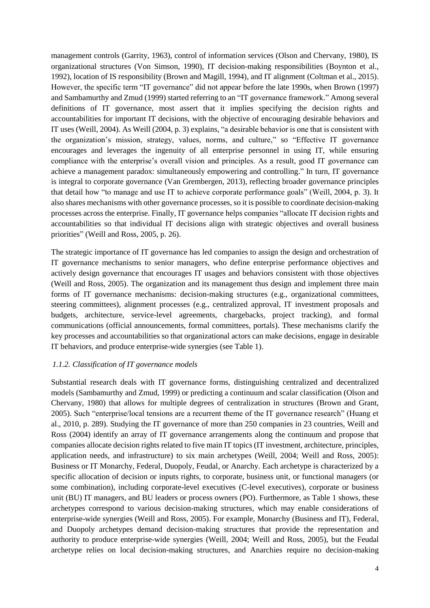management controls (Garrity, 1963), control of information services (Olson and Chervany, 1980), IS organizational structures (Von Simson, 1990), IT decision-making responsibilities (Boynton et al., 1992), location of IS responsibility (Brown and Magill, 1994), and IT alignment (Coltman et al., 2015). However, the specific term "IT governance" did not appear before the late 1990s, when Brown (1997) and Sambamurthy and Zmud (1999) started referring to an "IT governance framework." Among several definitions of IT governance, most assert that it implies specifying the decision rights and accountabilities for important IT decisions, with the objective of encouraging desirable behaviors and IT uses (Weill, 2004). As Weill (2004, p. 3) explains, "a desirable behavior is one that is consistent with the organization's mission, strategy, values, norms, and culture," so "Effective IT governance encourages and leverages the ingenuity of all enterprise personnel in using IT, while ensuring compliance with the enterprise's overall vision and principles. As a result, good IT governance can achieve a management paradox: simultaneously empowering and controlling." In turn, IT governance is integral to corporate governance (Van Grembergen, 2013), reflecting broader governance principles that detail how "to manage and use IT to achieve corporate performance goals" (Weill, 2004, p. 3). It also shares mechanisms with other governance processes, so it is possible to coordinate decision-making processes across the enterprise. Finally, IT governance helps companies "allocate IT decision rights and accountabilities so that individual IT decisions align with strategic objectives and overall business priorities" (Weill and Ross, 2005, p. 26).

The strategic importance of IT governance has led companies to assign the design and orchestration of IT governance mechanisms to senior managers, who define enterprise performance objectives and actively design governance that encourages IT usages and behaviors consistent with those objectives (Weill and Ross, 2005). The organization and its management thus design and implement three main forms of IT governance mechanisms: decision-making structures (e.g., organizational committees, steering committees), alignment processes (e.g., centralized approval, IT investment proposals and budgets, architecture, service-level agreements, chargebacks, project tracking), and formal communications (official announcements, formal committees, portals). These mechanisms clarify the key processes and accountabilities so that organizational actors can make decisions, engage in desirable IT behaviors, and produce enterprise-wide synergies (see Table 1).

#### *1.1.2. Classification of IT governance models*

Substantial research deals with IT governance forms, distinguishing centralized and decentralized models (Sambamurthy and Zmud, 1999) or predicting a continuum and scalar classification (Olson and Chervany, 1980) that allows for multiple degrees of centralization in structures (Brown and Grant, 2005). Such "enterprise/local tensions are a recurrent theme of the IT governance research" (Huang et al., 2010, p. 289). Studying the IT governance of more than 250 companies in 23 countries, Weill and Ross (2004) identify an array of IT governance arrangements along the continuum and propose that companies allocate decision rights related to five main IT topics (IT investment, architecture, principles, application needs, and infrastructure) to six main archetypes (Weill, 2004; Weill and Ross, 2005): Business or IT Monarchy, Federal, Duopoly, Feudal, or Anarchy. Each archetype is characterized by a specific allocation of decision or inputs rights, to corporate, business unit, or functional managers (or some combination), including corporate-level executives (C-level executives), corporate or business unit (BU) IT managers, and BU leaders or process owners (PO). Furthermore, as Table 1 shows, these archetypes correspond to various decision-making structures, which may enable considerations of enterprise-wide synergies (Weill and Ross, 2005). For example, Monarchy (Business and IT), Federal, and Duopoly archetypes demand decision-making structures that provide the representation and authority to produce enterprise-wide synergies (Weill, 2004; Weill and Ross, 2005), but the Feudal archetype relies on local decision-making structures, and Anarchies require no decision-making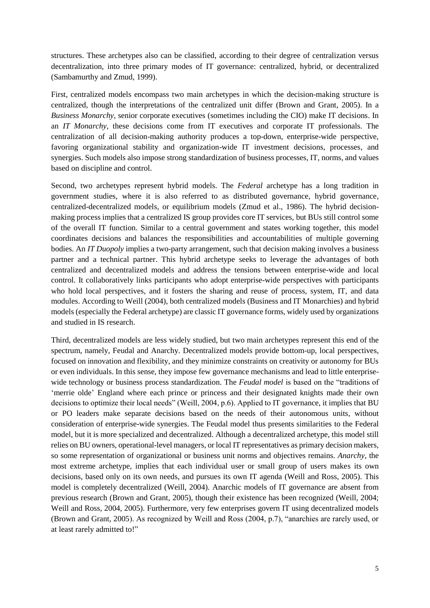structures. These archetypes also can be classified, according to their degree of centralization versus decentralization, into three primary modes of IT governance: centralized, hybrid, or decentralized (Sambamurthy and Zmud, 1999).

First, centralized models encompass two main archetypes in which the decision-making structure is centralized, though the interpretations of the centralized unit differ (Brown and Grant, 2005). In a *Business Monarchy*, senior corporate executives (sometimes including the CIO) make IT decisions. In an *IT Monarchy*, these decisions come from IT executives and corporate IT professionals. The centralization of all decision-making authority produces a top-down, enterprise-wide perspective, favoring organizational stability and organization-wide IT investment decisions, processes, and synergies. Such models also impose strong standardization of business processes, IT, norms, and values based on discipline and control.

Second, two archetypes represent hybrid models. The *Federal* archetype has a long tradition in government studies, where it is also referred to as distributed governance, hybrid governance, centralized-decentralized models, or equilibrium models (Zmud et al., 1986). The hybrid decisionmaking process implies that a centralized IS group provides core IT services, but BUs still control some of the overall IT function. Similar to a central government and states working together, this model coordinates decisions and balances the responsibilities and accountabilities of multiple governing bodies. An *IT Duopoly* implies a two-party arrangement, such that decision making involves a business partner and a technical partner. This hybrid archetype seeks to leverage the advantages of both centralized and decentralized models and address the tensions between enterprise-wide and local control. It collaboratively links participants who adopt enterprise-wide perspectives with participants who hold local perspectives, and it fosters the sharing and reuse of process, system, IT, and data modules. According to Weill (2004), both centralized models (Business and IT Monarchies) and hybrid models (especially the Federal archetype) are classic IT governance forms, widely used by organizations and studied in IS research.

Third, decentralized models are less widely studied, but two main archetypes represent this end of the spectrum, namely, Feudal and Anarchy. Decentralized models provide bottom-up, local perspectives, focused on innovation and flexibility, and they minimize constraints on creativity or autonomy for BUs or even individuals. In this sense, they impose few governance mechanisms and lead to little enterprisewide technology or business process standardization. The *Feudal model* is based on the "traditions of 'merrie olde' England where each prince or princess and their designated knights made their own decisions to optimize their local needs" (Weill, 2004, p.6). Applied to IT governance, it implies that BU or PO leaders make separate decisions based on the needs of their autonomous units, without consideration of enterprise-wide synergies. The Feudal model thus presents similarities to the Federal model, but it is more specialized and decentralized. Although a decentralized archetype, this model still relies on BU owners, operational-level managers, or local IT representatives as primary decision makers, so some representation of organizational or business unit norms and objectives remains. *Anarchy*, the most extreme archetype, implies that each individual user or small group of users makes its own decisions, based only on its own needs, and pursues its own IT agenda (Weill and Ross, 2005). This model is completely decentralized (Weill, 2004). Anarchic models of IT governance are absent from previous research (Brown and Grant, 2005), though their existence has been recognized (Weill, 2004; Weill and Ross, 2004, 2005). Furthermore, very few enterprises govern IT using decentralized models (Brown and Grant, 2005). As recognized by Weill and Ross (2004, p.7), "anarchies are rarely used, or at least rarely admitted to!"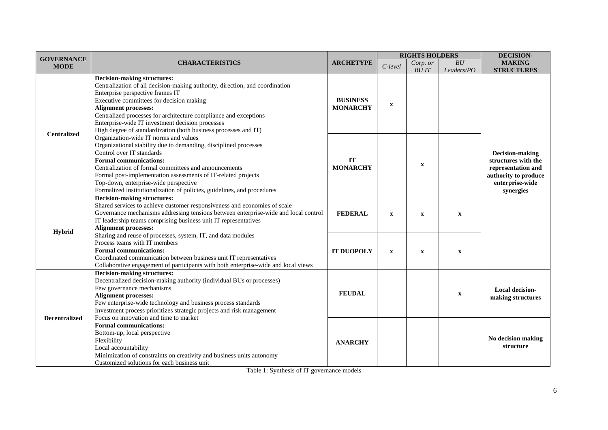|                                  |                                                                                                                                                                                                                                                                                                                                                                                                                              |                                    | <b>RIGHTS HOLDERS</b> |             |                    | DECISION-                                                                                                            |  |
|----------------------------------|------------------------------------------------------------------------------------------------------------------------------------------------------------------------------------------------------------------------------------------------------------------------------------------------------------------------------------------------------------------------------------------------------------------------------|------------------------------------|-----------------------|-------------|--------------------|----------------------------------------------------------------------------------------------------------------------|--|
| <b>GOVERNANCE</b><br><b>MODE</b> | <b>CHARACTERISTICS</b>                                                                                                                                                                                                                                                                                                                                                                                                       | <b>ARCHETYPE</b>                   | Corp. or<br>C-level   |             | ${\cal B}{\cal U}$ | <b>MAKING</b>                                                                                                        |  |
|                                  |                                                                                                                                                                                                                                                                                                                                                                                                                              |                                    |                       | <b>BUIT</b> | Leaders/PO         | <b>STRUCTURES</b>                                                                                                    |  |
| <b>Centralized</b>               | <b>Decision-making structures:</b><br>Centralization of all decision-making authority, direction, and coordination<br>Enterprise perspective frames IT<br>Executive committees for decision making<br><b>Alignment processes:</b><br>Centralized processes for architecture compliance and exceptions<br>Enterprise-wide IT investment decision processes<br>High degree of standardization (both business processes and IT) | <b>BUSINESS</b><br><b>MONARCHY</b> | $\mathbf X$           |             |                    |                                                                                                                      |  |
|                                  | Organization-wide IT norms and values<br>Organizational stability due to demanding, disciplined processes<br>Control over IT standards<br><b>Formal communications:</b><br>Centralization of formal committees and announcements<br>Formal post-implementation assessments of IT-related projects<br>Top-down, enterprise-wide perspective<br>Formalized institutionalization of policies, guidelines, and procedures        | IT<br><b>MONARCHY</b>              |                       | $\mathbf X$ |                    | Decision-making<br>structures with the<br>representation and<br>authority to produce<br>enterprise-wide<br>synergies |  |
| Hybrid                           | <b>Decision-making structures:</b><br>Shared services to achieve customer responsiveness and economies of scale<br>Governance mechanisms addressing tensions between enterprise-wide and local control<br>IT leadership teams comprising business unit IT representatives<br><b>Alignment processes:</b>                                                                                                                     | <b>FEDERAL</b>                     | $\mathbf X$           | $\mathbf X$ | $\mathbf X$        |                                                                                                                      |  |
|                                  | Sharing and reuse of processes, system, IT, and data modules<br>Process teams with IT members<br><b>Formal communications:</b><br>Coordinated communication between business unit IT representatives<br>Collaborative engagement of participants with both enterprise-wide and local views                                                                                                                                   | <b>IT DUOPOLY</b>                  | $\mathbf X$           | $\mathbf X$ | $\mathbf X$        |                                                                                                                      |  |
| <b>Decentralized</b>             | <b>Decision-making structures:</b><br>Decentralized decision-making authority (individual BUs or processes)<br>Few governance mechanisms<br><b>Alignment processes:</b><br>Few enterprise-wide technology and business process standards<br>Investment process prioritizes strategic projects and risk management                                                                                                            | <b>FEUDAL</b>                      |                       |             | $\mathbf X$        | Local decision-<br>making structures                                                                                 |  |
|                                  | Focus on innovation and time to market<br><b>Formal communications:</b><br>Bottom-up, local perspective<br>Flexibility<br>Local accountability<br>Minimization of constraints on creativity and business units autonomy<br>Customized solutions for each business unit                                                                                                                                                       | <b>ANARCHY</b>                     |                       |             |                    | No decision making<br>structure                                                                                      |  |

Table 1: Synthesis of IT governance models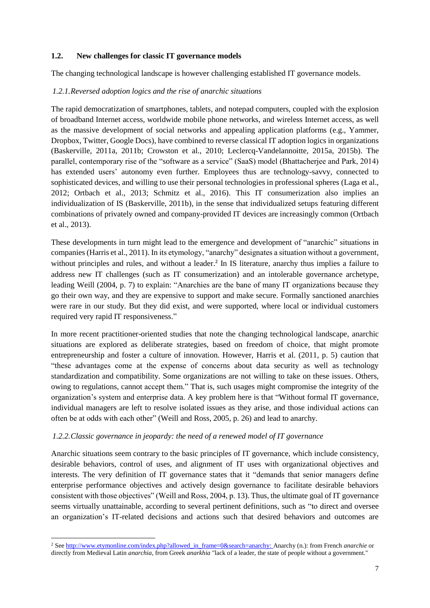## **1.2. New challenges for classic IT governance models**

The changing technological landscape is however challenging established IT governance models.

## *1.2.1.Reversed adoption logics and the rise of anarchic situations*

The rapid democratization of smartphones, tablets, and notepad computers, coupled with the explosion of broadband Internet access, worldwide mobile phone networks, and wireless Internet access, as well as the massive development of social networks and appealing application platforms (e.g., Yammer, Dropbox, Twitter, Google Docs), have combined to reverse classical IT adoption logics in organizations (Baskerville, 2011a, 2011b; Crowston et al., 2010; Leclercq-Vandelannoitte, 2015a, 2015b). The parallel, contemporary rise of the "software as a service" (SaaS) model (Bhattacherjee and Park, 2014) has extended users' autonomy even further. Employees thus are technology-savvy, connected to sophisticated devices, and willing to use their personal technologies in professional spheres (Laga et al., 2012; Ortbach et al., 2013; Schmitz et al., 2016). This IT consumerization also implies an individualization of IS (Baskerville, 2011b), in the sense that individualized setups featuring different combinations of privately owned and company-provided IT devices are increasingly common (Ortbach et al., 2013).

These developments in turn might lead to the emergence and development of "anarchic" situations in companies (Harris et al., 2011). In its etymology, "anarchy" designates a situation without a government, without principles and rules, and without a leader.<sup>2</sup> In IS literature, anarchy thus implies a failure to address new IT challenges (such as IT consumerization) and an intolerable governance archetype, leading Weill (2004, p. 7) to explain: "Anarchies are the bane of many IT organizations because they go their own way, and they are expensive to support and make secure. Formally sanctioned anarchies were rare in our study. But they did exist, and were supported, where local or individual customers required very rapid IT responsiveness."

In more recent practitioner-oriented studies that note the changing technological landscape, anarchic situations are explored as deliberate strategies, based on freedom of choice, that might promote entrepreneurship and foster a culture of innovation. However, Harris et al. (2011, p. 5) caution that "these advantages come at the expense of concerns about data security as well as technology standardization and compatibility. Some organizations are not willing to take on these issues. Others, owing to regulations, cannot accept them." That is, such usages might compromise the integrity of the organization's system and enterprise data. A key problem here is that "Without formal IT governance, individual managers are left to resolve isolated issues as they arise, and those individual actions can often be at odds with each other" (Weill and Ross, 2005, p. 26) and lead to anarchy.

#### *1.2.2.Classic governance in jeopardy: the need of a renewed model of IT governance*

 $\overline{a}$ 

Anarchic situations seem contrary to the basic principles of IT governance, which include consistency, desirable behaviors, control of uses, and alignment of IT uses with organizational objectives and interests. The very definition of IT governance states that it "demands that senior managers define enterprise performance objectives and actively design governance to facilitate desirable behaviors consistent with those objectives" (Weill and Ross, 2004, p. 13). Thus, the ultimate goal of IT governance seems virtually unattainable, according to several pertinent definitions, such as "to direct and oversee an organization's IT-related decisions and actions such that desired behaviors and outcomes are

<sup>&</sup>lt;sup>2</sup> Se[e http://www.etymonline.com/index.php?allowed\\_in\\_frame=0&search=anarchy:](http://www.etymonline.com/index.php?allowed_in_frame=0&search=anarchy) Anarchy (n.): from French *anarchie* or directly from Medieval Latin *anarchia*, from Greek *anarkhia* "lack of a leader, the state of people without a government."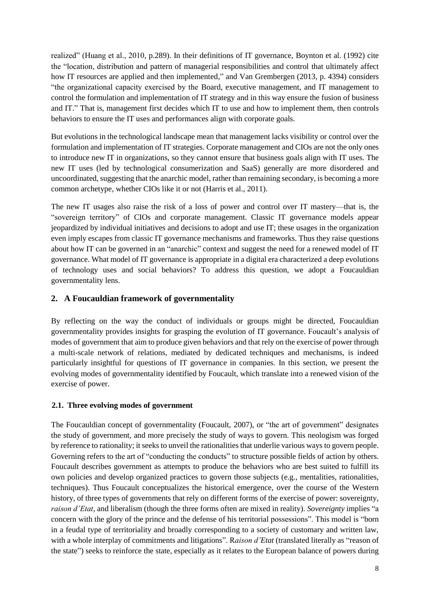realized" (Huang et al., 2010, p.289). In their definitions of IT governance, Boynton et al. (1992) cite the "location, distribution and pattern of managerial responsibilities and control that ultimately affect how IT resources are applied and then implemented," and Van Grembergen (2013, p. 4394) considers "the organizational capacity exercised by the Board, executive management, and IT management to control the formulation and implementation of IT strategy and in this way ensure the fusion of business and IT." That is, management first decides which IT to use and how to implement them, then controls behaviors to ensure the IT uses and performances align with corporate goals.

But evolutions in the technological landscape mean that management lacks visibility or control over the formulation and implementation of IT strategies. Corporate management and CIOs are not the only ones to introduce new IT in organizations, so they cannot ensure that business goals align with IT uses. The new IT uses (led by technological consumerization and SaaS) generally are more disordered and uncoordinated, suggesting that the anarchic model, rather than remaining secondary, is becoming a more common archetype, whether CIOs like it or not (Harris et al., 2011).

The new IT usages also raise the risk of a loss of power and control over IT mastery—that is, the "sovereign territory" of CIOs and corporate management. Classic IT governance models appear jeopardized by individual initiatives and decisions to adopt and use IT; these usages in the organization even imply escapes from classic IT governance mechanisms and frameworks. Thus they raise questions about how IT can be governed in an "anarchic" context and suggest the need for a renewed model of IT governance. What model of IT governance is appropriate in a digital era characterized a deep evolutions of technology uses and social behaviors? To address this question, we adopt a Foucauldian governmentality lens.

# **2. A Foucauldian framework of governmentality**

By reflecting on the way the conduct of individuals or groups might be directed, Foucauldian governmentality provides insights for grasping the evolution of IT governance. Foucault's analysis of modes of government that aim to produce given behaviors and that rely on the exercise of power through a multi-scale network of relations, mediated by dedicated techniques and mechanisms, is indeed particularly insightful for questions of IT governance in companies. In this section, we present the evolving modes of governmentality identified by Foucault, which translate into a renewed vision of the exercise of power.

# **2.1. Three evolving modes of government**

The Foucauldian concept of governmentality (Foucault, 2007), or "the art of government" designates the study of government, and more precisely the study of ways to govern. This neologism was forged by reference to rationality; it seeks to unveil the rationalities that underlie various ways to govern people. Governing refers to the art of "conducting the conducts" to structure possible fields of action by others. Foucault describes government as attempts to produce the behaviors who are best suited to fulfill its own policies and develop organized practices to govern those subjects (e.g., mentalities, rationalities, techniques). Thus Foucault conceptualizes the historical emergence, over the course of the Western history, of three types of governments that rely on different forms of the exercise of power: sovereignty, *raison d'Etat*, and liberalism (though the three forms often are mixed in reality). *Sovereignty* implies "a concern with the glory of the prince and the defense of his territorial possessions". This model is "born in a feudal type of territoriality and broadly corresponding to a society of customary and written law, with a whole interplay of commitments and litigations". R*aison d'Etat* (translated literally as "reason of the state") seeks to reinforce the state, especially as it relates to the European balance of powers during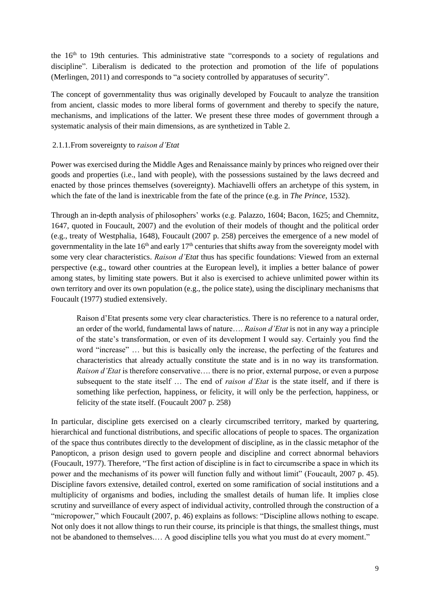the 16<sup>th</sup> to 19th centuries. This administrative state "corresponds to a society of regulations and discipline". Liberalism is dedicated to the protection and promotion of the life of populations (Merlingen, 2011) and corresponds to "a society controlled by apparatuses of security".

The concept of governmentality thus was originally developed by Foucault to analyze the transition from ancient, classic modes to more liberal forms of government and thereby to specify the nature, mechanisms, and implications of the latter. We present these three modes of government through a systematic analysis of their main dimensions, as are synthetized in Table 2.

# 2.1.1.From sovereignty to *raison d'Etat*

Power was exercised during the Middle Ages and Renaissance mainly by princes who reigned over their goods and properties (i.e., land with people), with the possessions sustained by the laws decreed and enacted by those princes themselves (sovereignty). Machiavelli offers an archetype of this system, in which the fate of the land is inextricable from the fate of the prince (e.g. in *The Prince*, 1532).

Through an in-depth analysis of philosophers' works (e.g. Palazzo, 1604; Bacon, 1625; and Chemnitz, 1647, quoted in Foucault, 2007) and the evolution of their models of thought and the political order (e.g., treaty of Westphalia, 1648), Foucault (2007 p. 258) perceives the emergence of a new model of governmentality in the late  $16<sup>th</sup>$  and early  $17<sup>th</sup>$  centuries that shifts away from the sovereignty model with some very clear characteristics. *Raison d'Etat* thus has specific foundations: Viewed from an external perspective (e.g., toward other countries at the European level), it implies a better balance of power among states, by limiting state powers. But it also is exercised to achieve unlimited power within its own territory and over its own population (e.g., the police state), using the disciplinary mechanisms that Foucault (1977) studied extensively.

Raison d'Etat presents some very clear characteristics. There is no reference to a natural order, an order of the world, fundamental laws of nature…. *Raison d'Etat* is not in any way a principle of the state's transformation, or even of its development I would say. Certainly you find the word "increase" … but this is basically only the increase, the perfecting of the features and characteristics that already actually constitute the state and is in no way its transformation. *Raison d'Etat* is therefore conservative…. there is no prior, external purpose, or even a purpose subsequent to the state itself … The end of *raison d'Etat* is the state itself, and if there is something like perfection, happiness, or felicity, it will only be the perfection, happiness, or felicity of the state itself. (Foucault 2007 p. 258)

In particular, discipline gets exercised on a clearly circumscribed territory, marked by quartering, hierarchical and functional distributions, and specific allocations of people to spaces. The organization of the space thus contributes directly to the development of discipline, as in the classic metaphor of the Panopticon, a prison design used to govern people and discipline and correct abnormal behaviors (Foucault, 1977). Therefore, "The first action of discipline is in fact to circumscribe a space in which its power and the mechanisms of its power will function fully and without limit" (Foucault, 2007 p. 45). Discipline favors extensive, detailed control, exerted on some ramification of social institutions and a multiplicity of organisms and bodies, including the smallest details of human life. It implies close scrutiny and surveillance of every aspect of individual activity, controlled through the construction of a "micropower," which Foucault (2007, p. 46) explains as follows: "Discipline allows nothing to escape. Not only does it not allow things to run their course, its principle is that things, the smallest things, must not be abandoned to themselves.… A good discipline tells you what you must do at every moment."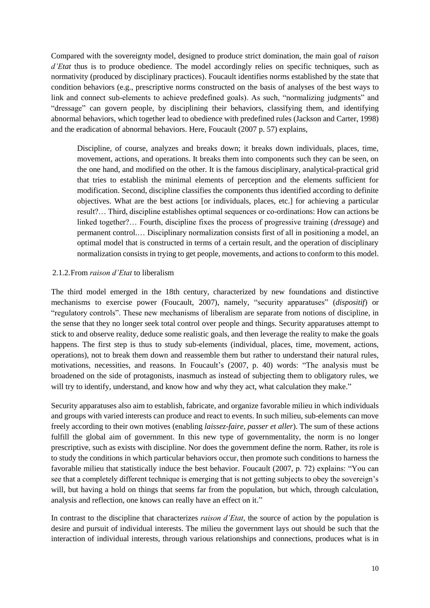Compared with the sovereignty model, designed to produce strict domination, the main goal of *raison d'Etat* thus is to produce obedience. The model accordingly relies on specific techniques, such as normativity (produced by disciplinary practices). Foucault identifies norms established by the state that condition behaviors (e.g., prescriptive norms constructed on the basis of analyses of the best ways to link and connect sub-elements to achieve predefined goals). As such, "normalizing judgments" and "dressage" can govern people, by disciplining their behaviors, classifying them, and identifying abnormal behaviors, which together lead to obedience with predefined rules (Jackson and Carter, 1998) and the eradication of abnormal behaviors. Here, Foucault (2007 p. 57) explains,

Discipline, of course, analyzes and breaks down; it breaks down individuals, places, time, movement, actions, and operations. It breaks them into components such they can be seen, on the one hand, and modified on the other. It is the famous disciplinary, analytical-practical grid that tries to establish the minimal elements of perception and the elements sufficient for modification. Second, discipline classifies the components thus identified according to definite objectives. What are the best actions [or individuals, places, etc.] for achieving a particular result?… Third, discipline establishes optimal sequences or co-ordinations: How can actions be linked together?… Fourth, discipline fixes the process of progressive training (*dressage*) and permanent control.… Disciplinary normalization consists first of all in positioning a model, an optimal model that is constructed in terms of a certain result, and the operation of disciplinary normalization consists in trying to get people, movements, and actions to conform to this model.

#### 2.1.2.From *raison d'Etat* to liberalism

The third model emerged in the 18th century, characterized by new foundations and distinctive mechanisms to exercise power (Foucault, 2007), namely, "security apparatuses" (*dispositif*) or "regulatory controls". These new mechanisms of liberalism are separate from notions of discipline, in the sense that they no longer seek total control over people and things. Security apparatuses attempt to stick to and observe reality, deduce some realistic goals, and then leverage the reality to make the goals happens. The first step is thus to study sub-elements (individual, places, time, movement, actions, operations), not to break them down and reassemble them but rather to understand their natural rules, motivations, necessities, and reasons. In Foucault's (2007, p. 40) words: "The analysis must be broadened on the side of protagonists, inasmuch as instead of subjecting them to obligatory rules, we will try to identify, understand, and know how and why they act, what calculation they make."

Security apparatuses also aim to establish, fabricate, and organize favorable milieu in which individuals and groups with varied interests can produce and react to events. In such milieu, sub-elements can move freely according to their own motives (enabling *laissez-faire, passer et aller*). The sum of these actions fulfill the global aim of government. In this new type of governmentality, the norm is no longer prescriptive, such as exists with discipline. Nor does the government define the norm. Rather, its role is to study the conditions in which particular behaviors occur, then promote such conditions to harness the favorable milieu that statistically induce the best behavior. Foucault (2007, p. 72) explains: "You can see that a completely different technique is emerging that is not getting subjects to obey the sovereign's will, but having a hold on things that seems far from the population, but which, through calculation, analysis and reflection, one knows can really have an effect on it."

In contrast to the discipline that characterizes *raison d'Etat*, the source of action by the population is desire and pursuit of individual interests. The milieu the government lays out should be such that the interaction of individual interests, through various relationships and connections, produces what is in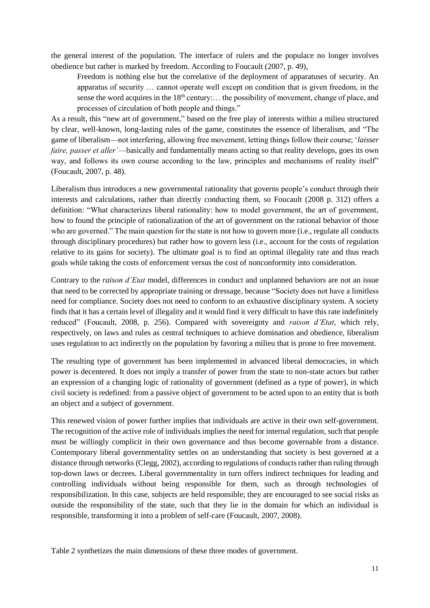the general interest of the population. The interface of rulers and the populace no longer involves obedience but rather is marked by freedom. According to Foucault (2007, p. 49),

Freedom is nothing else but the correlative of the deployment of apparatuses of security. An apparatus of security … cannot operate well except on condition that is given freedom, in the sense the word acquires in the  $18<sup>th</sup>$  century:... the possibility of movement, change of place, and processes of circulation of both people and things."

As a result, this "new art of government," based on the free play of interests within a milieu structured by clear, well-known, long-lasting rules of the game, constitutes the essence of liberalism, and "The game of liberalism—not interfering, allowing free movement, letting things follow their course; '*laisser faire, passer et aller'*—basically and fundamentally means acting so that reality develops, goes its own way, and follows its own course according to the law, principles and mechanisms of reality itself" (Foucault, 2007, p. 48).

Liberalism thus introduces a new governmental rationality that governs people's conduct through their interests and calculations, rather than directly conducting them, so Foucault (2008 p. 312) offers a definition: "What characterizes liberal rationality: how to model government, the art of government, how to found the principle of rationalization of the art of government on the rational behavior of those who are governed." The main question for the state is not how to govern more (i.e., regulate all conducts through disciplinary procedures) but rather how to govern less (i.e., account for the costs of regulation relative to its gains for society). The ultimate goal is to find an optimal illegality rate and thus reach goals while taking the costs of enforcement versus the cost of nonconformity into consideration.

Contrary to the *raison d'Etat* model, differences in conduct and unplanned behaviors are not an issue that need to be corrected by appropriate training or dressage, because "Society does not have a limitless need for compliance. Society does not need to conform to an exhaustive disciplinary system. A society finds that it has a certain level of illegality and it would find it very difficult to have this rate indefinitely reduced" (Foucault, 2008, p. 256). Compared with sovereignty and *raison d'Etat*, which rely, respectively, on laws and rules as central techniques to achieve domination and obedience, liberalism uses regulation to act indirectly on the population by favoring a milieu that is prone to free movement.

The resulting type of government has been implemented in advanced liberal democracies, in which power is decentered. It does not imply a transfer of power from the state to non-state actors but rather an expression of a changing logic of rationality of government (defined as a type of power), in which civil society is redefined: from a passive object of government to be acted upon to an entity that is both an object and a subject of government.

This renewed vision of power further implies that individuals are active in their own self-government. The recognition of the active role of individuals implies the need for internal regulation, such that people must be willingly complicit in their own governance and thus become governable from a distance. Contemporary liberal governmentality settles on an understanding that society is best governed at a distance through networks (Clegg, 2002), according to regulations of conducts rather than ruling through top-down laws or decrees. Liberal governmentality in turn offers indirect techniques for leading and controlling individuals without being responsible for them, such as through technologies of responsibilization. In this case, subjects are held responsible; they are encouraged to see social risks as outside the responsibility of the state, such that they lie in the domain for which an individual is responsible, transforming it into a problem of self-care (Foucault, 2007, 2008).

Table 2 synthetizes the main dimensions of these three modes of government.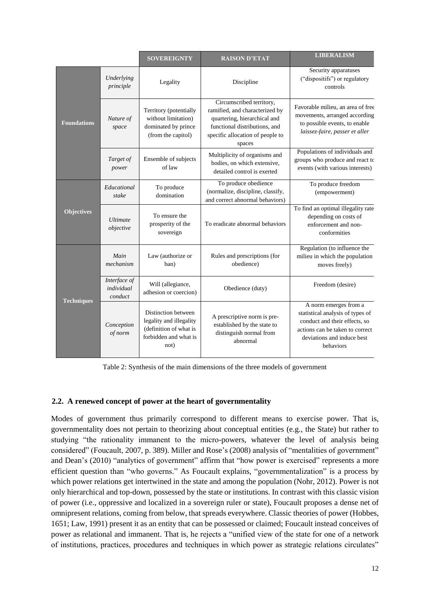|                    |                                       | <b>SOVEREIGNTY</b>                                                                                        | <b>RAISON D'ETAT</b>                                                                                                                                                      | <b>LIBERALISM</b>                                                                                                                                                        |  |
|--------------------|---------------------------------------|-----------------------------------------------------------------------------------------------------------|---------------------------------------------------------------------------------------------------------------------------------------------------------------------------|--------------------------------------------------------------------------------------------------------------------------------------------------------------------------|--|
|                    | Underlying<br>principle               | Legality                                                                                                  | Discipline                                                                                                                                                                | Security apparatuses<br>("dispositifs") or regulatory<br>controls                                                                                                        |  |
| <b>Foundations</b> | Nature of<br>space                    | Territory (potentially<br>without limitation)<br>dominated by prince<br>(from the capitol)                | Circumscribed territory,<br>ramified, and characterized by<br>quartering, hierarchical and<br>functional distributions, and<br>specific allocation of people to<br>spaces | Favorable milieu, an area of free<br>movements, arranged according<br>to possible events, to enable<br>laissez-faire, passer et aller                                    |  |
|                    | Target of<br>power                    | Ensemble of subjects<br>of law                                                                            | Multiplicity of organisms and<br>bodies, on which extensive,<br>detailed control is exerted                                                                               | Populations of individuals and<br>groups who produce and react to<br>events (with various interests)                                                                     |  |
| <b>Objectives</b>  | Educational<br>stake                  | To produce<br>domination                                                                                  | To produce obedience<br>(normalize, discipline, classify,<br>and correct abnormal behaviors)                                                                              | To produce freedom<br>(empowerment)                                                                                                                                      |  |
|                    | <b>Ultimate</b><br>objective          | To ensure the<br>prosperity of the<br>sovereign                                                           | To eradicate abnormal behaviors                                                                                                                                           | To find an optimal illegality rate<br>depending on costs of<br>enforcement and non-<br>conformities                                                                      |  |
| <b>Techniques</b>  | Main<br>mechanism                     | Law (authorize or<br>ban)                                                                                 | Rules and prescriptions (for<br>obedience)                                                                                                                                | Regulation (to influence the<br>milieu in which the population<br>moves freely)                                                                                          |  |
|                    | Interface of<br>individual<br>conduct | Will (allegiance,<br>adhesion or coercion)                                                                | Obedience (duty)                                                                                                                                                          | Freedom (desire)                                                                                                                                                         |  |
|                    | Conception<br>of norm                 | Distinction between<br>legality and illegality<br>(definition of what is<br>forbidden and what is<br>not) | A prescriptive norm is pre-<br>established by the state to<br>distinguish normal from<br>abnormal                                                                         | A norm emerges from a<br>statistical analysis of types of<br>conduct and their effects, so<br>actions can be taken to correct<br>deviations and induce best<br>behaviors |  |

Table 2: Synthesis of the main dimensions of the three models of government

#### **2.2. A renewed concept of power at the heart of governmentality**

Modes of government thus primarily correspond to different means to exercise power. That is, governmentality does not pertain to theorizing about conceptual entities (e.g., the State) but rather to studying "the rationality immanent to the micro-powers, whatever the level of analysis being considered" (Foucault, 2007, p. 389). Miller and Rose's (2008) analysis of "mentalities of government" and Dean's (2010) "analytics of government" affirm that "how power is exercised" represents a more efficient question than "who governs." As Foucault explains, "governmentalization" is a process by which power relations get intertwined in the state and among the population (Nohr, 2012). Power is not only hierarchical and top-down, possessed by the state or institutions. In contrast with this classic vision of power (i.e., oppressive and localized in a sovereign ruler or state), Foucault proposes a dense net of omnipresent relations, coming from below, that spreads everywhere. Classic theories of power (Hobbes, 1651; Law, 1991) present it as an entity that can be possessed or claimed; Foucault instead conceives of power as relational and immanent. That is, he rejects a "unified view of the state for one of a network of institutions, practices, procedures and techniques in which power as strategic relations circulates"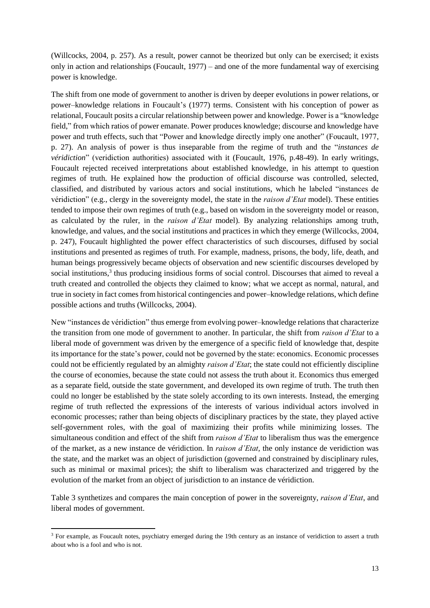(Willcocks, 2004, p. 257). As a result, power cannot be theorized but only can be exercised; it exists only in action and relationships (Foucault, 1977) – and one of the more fundamental way of exercising power is knowledge.

The shift from one mode of government to another is driven by deeper evolutions in power relations, or power–knowledge relations in Foucault's (1977) terms. Consistent with his conception of power as relational, Foucault posits a circular relationship between power and knowledge. Power is a "knowledge field," from which ratios of power emanate. Power produces knowledge; discourse and knowledge have power and truth effects, such that "Power and knowledge directly imply one another" (Foucault, 1977, p. 27). An analysis of power is thus inseparable from the regime of truth and the "*instances de véridiction*" (veridiction authorities) associated with it (Foucault, 1976, p.48-49). In early writings, Foucault rejected received interpretations about established knowledge, in his attempt to question regimes of truth. He explained how the production of official discourse was controlled, selected, classified, and distributed by various actors and social institutions, which he labeled "instances de véridiction" (e.g., clergy in the sovereignty model, the state in the *raison d'Etat* model). These entities tended to impose their own regimes of truth (e.g., based on wisdom in the sovereignty model or reason, as calculated by the ruler, in the *raison d'Etat* model). By analyzing relationships among truth, knowledge, and values, and the social institutions and practices in which they emerge (Willcocks, 2004, p. 247), Foucault highlighted the power effect characteristics of such discourses, diffused by social institutions and presented as regimes of truth. For example, madness, prisons, the body, life, death, and human beings progressively became objects of observation and new scientific discourses developed by social institutions,<sup>3</sup> thus producing insidious forms of social control. Discourses that aimed to reveal a truth created and controlled the objects they claimed to know; what we accept as normal, natural, and true in society in fact comesfrom historical contingencies and power–knowledge relations, which define possible actions and truths (Willcocks, 2004).

New "instances de véridiction" thus emerge from evolving power–knowledge relations that characterize the transition from one mode of government to another. In particular, the shift from *raison d'Etat* to a liberal mode of government was driven by the emergence of a specific field of knowledge that, despite its importance for the state's power, could not be governed by the state: economics. Economic processes could not be efficiently regulated by an almighty *raison d'Etat*; the state could not efficiently discipline the course of economies, because the state could not assess the truth about it. Economics thus emerged as a separate field, outside the state government, and developed its own regime of truth. The truth then could no longer be established by the state solely according to its own interests. Instead, the emerging regime of truth reflected the expressions of the interests of various individual actors involved in economic processes; rather than being objects of disciplinary practices by the state, they played active self-government roles, with the goal of maximizing their profits while minimizing losses. The simultaneous condition and effect of the shift from *raison d'Etat* to liberalism thus was the emergence of the market, as a new instance de véridiction. In *raison d'Etat,* the only instance de veridiction was the state, and the market was an object of jurisdiction (governed and constrained by disciplinary rules, such as minimal or maximal prices); the shift to liberalism was characterized and triggered by the evolution of the market from an object of jurisdiction to an instance de véridiction.

Table 3 synthetizes and compares the main conception of power in the sovereignty, *raison d'Etat*, and liberal modes of government.

**.** 

<sup>&</sup>lt;sup>3</sup> For example, as Foucault notes, psychiatry emerged during the 19th century as an instance of veridiction to assert a truth about who is a fool and who is not.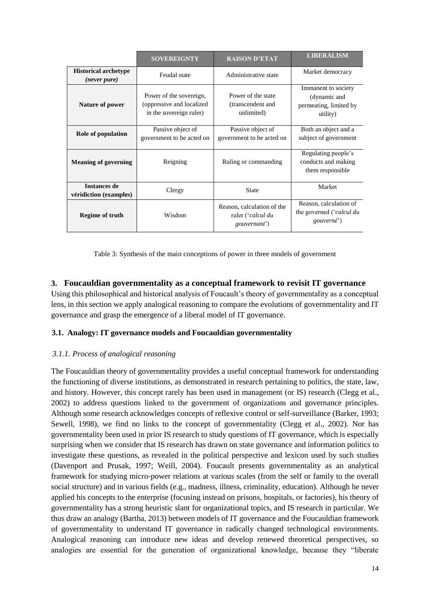|                                               | <b>SOVEREIGNTY</b>                                                              | <b>RAISON D'ETAT</b>                                            | <b>LIBERALISM</b>                                                         |
|-----------------------------------------------|---------------------------------------------------------------------------------|-----------------------------------------------------------------|---------------------------------------------------------------------------|
| <b>Historical archetype</b><br>(never pure)   | Feudal state                                                                    | Administrative state                                            | Market democracy                                                          |
| <b>Nature of power</b>                        | Power of the sovereign,<br>(oppressive and localized<br>in the sovereign ruler) | Power of the state<br>(transcendent and<br>unlimited)           | Immanent to society<br>(dynamic and<br>permeating, limited by<br>utility) |
| Role of population                            | Passive object of<br>government to be acted on                                  | Passive object of<br>government to be acted on                  | Both an object and a<br>subject of government                             |
| <b>Meaning of governing</b>                   | Reigning                                                                        | Ruling or commanding                                            | Regulating people's<br>conducts and making<br>them responsible            |
| <b>Instances de</b><br>véridiction (examples) | Clergy                                                                          | <b>State</b>                                                    | Market                                                                    |
| Wisdom<br><b>Regime of truth</b>              |                                                                                 | Reason, calculation of the<br>ruler ('calcul du<br>gouvernant') | Reason, calculation of<br>the governed ('calcul du<br>gouverné')          |

Table 3: Synthesis of the main conceptions of power in three models of government

# **3. Foucauldian governmentality as a conceptual framework to revisit IT governance**

Using this philosophical and historical analysis of Foucault's theory of governmentality as a conceptual lens, in this section we apply analogical reasoning to compare the evolutions of governmentality and IT governance and grasp the emergence of a liberal model of IT governance.

# **3.1. Analogy: IT governance models and Foucauldian governmentality**

# *3.1.1. Process of analogical reasoning*

The Foucauldian theory of governmentality provides a useful conceptual framework for understanding the functioning of diverse institutions, as demonstrated in research pertaining to politics, the state, law, and history. However, this concept rarely has been used in management (or IS) research (Clegg et al., 2002) to address questions linked to the government of organizations and governance principles. Although some research acknowledges concepts of reflexive control or self-surveillance (Barker, 1993; Sewell, 1998), we find no links to the concept of governmentality (Clegg et al., 2002). Nor has governmentality been used in prior IS research to study questions of IT governance, which is especially surprising when we consider that IS research has drawn on state governance and information politics to investigate these questions, as revealed in the political perspective and lexicon used by such studies (Davenport and Prusak, 1997; Weill, 2004). Foucault presents governmentality as an analytical framework for studying micro-power relations at various scales (from the self or family to the overall social structure) and in various fields (e.g., madness, illness, criminality, education). Although he never applied his concepts to the enterprise (focusing instead on prisons, hospitals, or factories), his theory of governmentality has a strong heuristic slant for organizational topics, and IS research in particular. We thus draw an analogy (Bartha, 2013) between models of IT governance and the Foucauldian framework of governmentality to understand IT governance in radically changed technological environments. Analogical reasoning can introduce new ideas and develop renewed theoretical perspectives, so analogies are essential for the generation of organizational knowledge, because they "liberate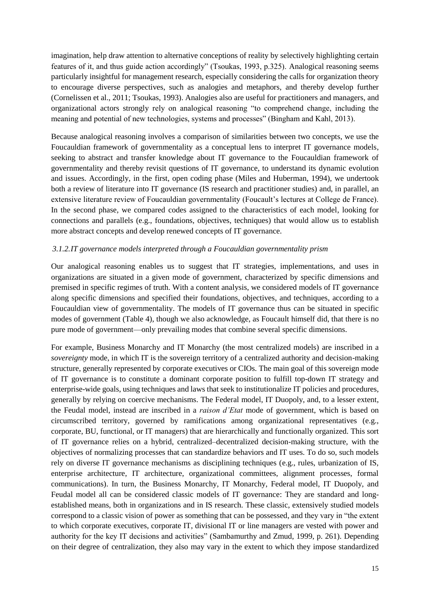imagination, help draw attention to alternative conceptions of reality by selectively highlighting certain features of it, and thus guide action accordingly" (Tsoukas, 1993, p.325). Analogical reasoning seems particularly insightful for management research, especially considering the calls for organization theory to encourage diverse perspectives, such as analogies and metaphors, and thereby develop further (Cornelissen et al., 2011; Tsoukas, 1993). Analogies also are useful for practitioners and managers, and organizational actors strongly rely on analogical reasoning "to comprehend change, including the meaning and potential of new technologies, systems and processes" (Bingham and Kahl, 2013).

Because analogical reasoning involves a comparison of similarities between two concepts, we use the Foucauldian framework of governmentality as a conceptual lens to interpret IT governance models, seeking to abstract and transfer knowledge about IT governance to the Foucauldian framework of governmentality and thereby revisit questions of IT governance, to understand its dynamic evolution and issues. Accordingly, in the first, open coding phase (Miles and Huberman, 1994), we undertook both a review of literature into IT governance (IS research and practitioner studies) and, in parallel, an extensive literature review of Foucauldian governmentality (Foucault's lectures at College de France). In the second phase, we compared codes assigned to the characteristics of each model, looking for connections and parallels (e.g., foundations, objectives, techniques) that would allow us to establish more abstract concepts and develop renewed concepts of IT governance.

## *3.1.2.IT governance models interpreted through a Foucauldian governmentality prism*

Our analogical reasoning enables us to suggest that IT strategies, implementations, and uses in organizations are situated in a given mode of government, characterized by specific dimensions and premised in specific regimes of truth. With a content analysis, we considered models of IT governance along specific dimensions and specified their foundations, objectives, and techniques, according to a Foucauldian view of governmentality. The models of IT governance thus can be situated in specific modes of government (Table 4), though we also acknowledge, as Foucault himself did, that there is no pure mode of government—only prevailing modes that combine several specific dimensions.

For example, Business Monarchy and IT Monarchy (the most centralized models) are inscribed in a *sovereignty* mode, in which IT is the sovereign territory of a centralized authority and decision-making structure, generally represented by corporate executives or CIOs. The main goal of this sovereign mode of IT governance is to constitute a dominant corporate position to fulfill top-down IT strategy and enterprise-wide goals, using techniques and laws that seek to institutionalize IT policies and procedures, generally by relying on coercive mechanisms. The Federal model, IT Duopoly, and, to a lesser extent, the Feudal model, instead are inscribed in a *raison d'Etat* mode of government, which is based on circumscribed territory, governed by ramifications among organizational representatives (e.g., corporate, BU, functional, or IT managers) that are hierarchically and functionally organized. This sort of IT governance relies on a hybrid, centralized–decentralized decision-making structure, with the objectives of normalizing processes that can standardize behaviors and IT uses. To do so, such models rely on diverse IT governance mechanisms as disciplining techniques (e.g., rules, urbanization of IS, enterprise architecture, IT architecture, organizational committees, alignment processes, formal communications). In turn, the Business Monarchy, IT Monarchy, Federal model, IT Duopoly, and Feudal model all can be considered classic models of IT governance: They are standard and longestablished means, both in organizations and in IS research. These classic, extensively studied models correspond to a classic vision of power as something that can be possessed, and they vary in "the extent to which corporate executives, corporate IT, divisional IT or line managers are vested with power and authority for the key IT decisions and activities" (Sambamurthy and Zmud, 1999, p. 261). Depending on their degree of centralization, they also may vary in the extent to which they impose standardized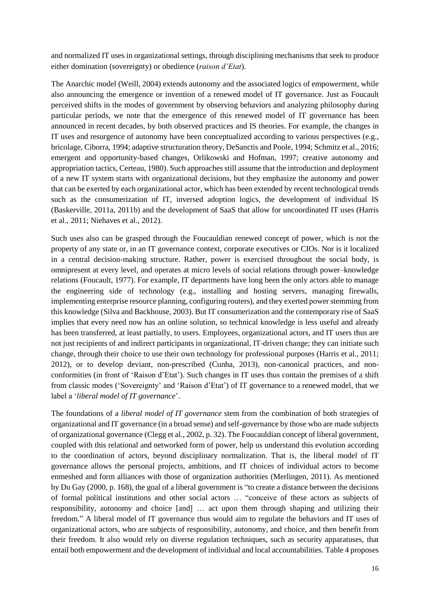and normalized IT uses in organizational settings, through disciplining mechanisms that seek to produce either domination (sovereignty) or obedience (*raison d'Etat*).

The Anarchic model (Weill, 2004) extends autonomy and the associated logics of empowerment, while also announcing the emergence or invention of a renewed model of IT governance. Just as Foucault perceived shifts in the modes of government by observing behaviors and analyzing philosophy during particular periods, we note that the emergence of this renewed model of IT governance has been announced in recent decades, by both observed practices and IS theories. For example, the changes in IT uses and resurgence of autonomy have been conceptualized according to various perspectives (e.g., bricolage, Ciborra, 1994; adaptive structuration theory, DeSanctis and Poole, 1994; Schmitz et al., 2016; emergent and opportunity-based changes, Orlikowski and Hofman, 1997; creative autonomy and appropriation tactics, Certeau, 1980). Such approaches still assume that the introduction and deployment of a new IT system starts with organizational decisions, but they emphasize the autonomy and power that can be exerted by each organizational actor, which has been extended by recent technological trends such as the consumerization of IT, inversed adoption logics, the development of individual IS (Baskerville, 2011a, 2011b) and the development of SaaS that allow for uncoordinated IT uses (Harris et al., 2011; Niehaves et al., 2012).

Such uses also can be grasped through the Foucauldian renewed concept of power, which is not the property of any state or, in an IT governance context, corporate executives or CIOs. Nor is it localized in a central decision-making structure. Rather, power is exercised throughout the social body, is omnipresent at every level, and operates at micro levels of social relations through power–knowledge relations (Foucault, 1977). For example, IT departments have long been the only actors able to manage the engineering side of technology (e.g., installing and hosting servers, managing firewalls, implementing enterprise resource planning, configuring routers), and they exerted power stemming from this knowledge (Silva and Backhouse, 2003). But IT consumerization and the contemporary rise of SaaS implies that every need now has an online solution, so technical knowledge is less useful and already has been transferred, at least partially, to users. Employees, organizational actors, and IT users thus are not just recipients of and indirect participants in organizational, IT-driven change; they can initiate such change, through their choice to use their own technology for professional purposes (Harris et al., 2011; 2012), or to develop deviant, non-prescribed (Cunha, 2013), non-canonical practices, and nonconformities (in front of 'Raison d'Etat'). Such changes in IT uses thus contain the premises of a shift from classic modes ('Sovereignty' and 'Raison d'Etat') of IT governance to a renewed model, that we label a '*liberal model of IT governance*'.

The foundations of a *liberal model of IT governance* stem from the combination of both strategies of organizational and IT governance (in a broad sense) and self-governance by those who are made subjects of organizational governance (Clegg et al., 2002, p. 32). The Foucauldian concept of liberal government, coupled with this relational and networked form of power, help us understand this evolution according to the coordination of actors, beyond disciplinary normalization. That is, the liberal model of IT governance allows the personal projects, ambitions, and IT choices of individual actors to become enmeshed and form alliances with those of organization authorities (Merlingen, 2011). As mentioned by Du Gay (2000, p. 168), the goal of a liberal government is "to create a distance between the decisions of formal political institutions and other social actors … "conceive of these actors as subjects of responsibility, autonomy and choice [and] … act upon them through shaping and utilizing their freedom." A liberal model of IT governance thus would aim to regulate the behaviors and IT uses of organizational actors, who are subjects of responsibility, autonomy, and choice, and then benefit from their freedom. It also would rely on diverse regulation techniques, such as security apparatuses, that entail both empowerment and the development of individual and local accountabilities. Table 4 proposes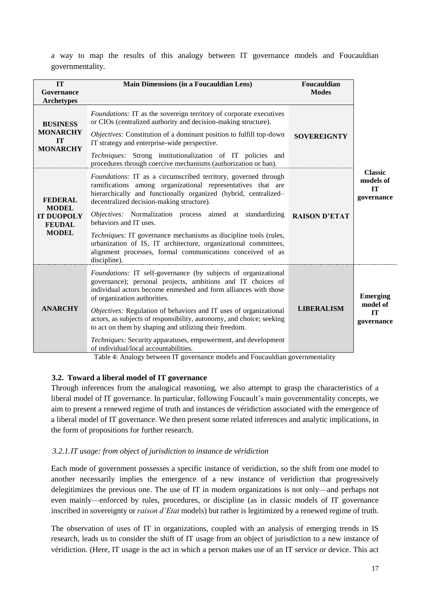a way to map the results of this analogy between IT governance models and Foucauldian governmentality.

| IT<br>Governance<br><b>Archetypes</b>                                                | <b>Main Dimensions (in a Foucauldian Lens)</b>                                                                                                                                                                                                                                                                                                                                                                                                                                                                                                                                                                    | Foucauldian<br><b>Modes</b> |                                                        |  |
|--------------------------------------------------------------------------------------|-------------------------------------------------------------------------------------------------------------------------------------------------------------------------------------------------------------------------------------------------------------------------------------------------------------------------------------------------------------------------------------------------------------------------------------------------------------------------------------------------------------------------------------------------------------------------------------------------------------------|-----------------------------|--------------------------------------------------------|--|
| <b>BUSINESS</b><br><b>MONARCHY</b><br><b>IT</b><br><b>MONARCHY</b>                   | <i>Foundations:</i> IT as the sovereign territory of corporate executives<br>or CIOs (centralized authority and decision-making structure).<br>Objectives: Constitution of a dominant position to fulfill top-down<br>IT strategy and enterprise-wide perspective.<br>Techniques: Strong institutionalization of IT policies and<br>procedures through coercive mechanisms (authorization or ban).                                                                                                                                                                                                                | <b>SOVEREIGNTY</b>          |                                                        |  |
| <b>FEDERAL</b><br><b>MODEL</b><br><b>IT DUOPOLY</b><br><b>FEUDAL</b><br><b>MODEL</b> | Foundations: IT as a circumscribed territory, governed through<br>ramifications among organizational representatives that are<br>hierarchically and functionally organized (hybrid, centralized–<br>decentralized decision-making structure).<br>Objectives: Normalization process aimed at standardizing<br>behaviors and IT uses.<br><i>Techniques:</i> IT governance mechanisms as discipline tools (rules,<br>urbanization of IS, IT architecture, organizational committees,<br>alignment processes, formal communications conceived of as<br>discipline).                                                   | <b>RAISON D'ETAT</b>        | <b>Classic</b><br>models of<br><b>IT</b><br>governance |  |
| <b>ANARCHY</b>                                                                       | Foundations: IT self-governance (by subjects of organizational<br>governance); personal projects, ambitions and IT choices of<br>individual actors become enmeshed and form alliances with those<br>of organization authorities.<br>Objectives: Regulation of behaviors and IT uses of organizational<br>actors, as subjects of responsibility, autonomy, and choice; seeking<br>to act on them by shaping and utilizing their freedom.<br>Techniques: Security apparatuses, empowerment, and development<br>of individual/local accountabilities.<br>1.11<br>1.1<br>$\mathbf{1}$<br><b>THEFT ALL THEFT THEFT</b> | <b>LIBERALISM</b>           | <b>Emerging</b><br>model of<br>IT<br>governance        |  |

Table 4: Analogy between IT governance models and Foucauldian governmentality

#### **3.2. Toward a liberal model of IT governance**

Through inferences from the analogical reasoning, we also attempt to grasp the characteristics of a liberal model of IT governance. In particular, following Foucault's main governmentality concepts, we aim to present a renewed regime of truth and instances de véridiction associated with the emergence of a liberal model of IT governance. We then present some related inferences and analytic implications, in the form of propositions for further research.

#### *3.2.1.IT usage: from object of jurisdiction to instance de véridiction*

Each mode of government possesses a specific instance of veridiction, so the shift from one model to another necessarily implies the emergence of a new instance of veridiction that progressively delegitimizes the previous one. The use of IT in modern organizations is not only—and perhaps not even mainly—enforced by rules, procedures, or discipline (as in classic models of IT governance inscribed in sovereignty or *raison d'Etat* models) but rather is legitimized by a renewed regime of truth.

The observation of uses of IT in organizations, coupled with an analysis of emerging trends in IS research, leads us to consider the shift of IT usage from an object of jurisdiction to a new instance of véridiction. (Here, IT usage is the act in which a person makes use of an IT service or device. This act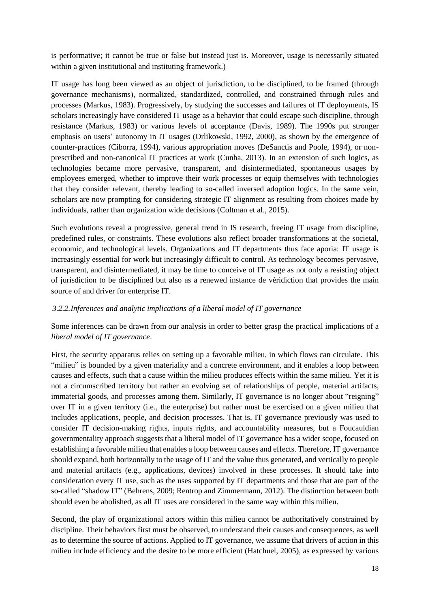is performative; it cannot be true or false but instead just is. Moreover, usage is necessarily situated within a given institutional and instituting framework.)

IT usage has long been viewed as an object of jurisdiction, to be disciplined, to be framed (through governance mechanisms), normalized, standardized, controlled, and constrained through rules and processes (Markus, 1983). Progressively, by studying the successes and failures of IT deployments, IS scholars increasingly have considered IT usage as a behavior that could escape such discipline, through resistance (Markus, 1983) or various levels of acceptance (Davis, 1989). The 1990s put stronger emphasis on users' autonomy in IT usages (Orlikowski, 1992, 2000), as shown by the emergence of counter-practices (Ciborra, 1994), various appropriation moves (DeSanctis and Poole, 1994), or nonprescribed and non-canonical IT practices at work (Cunha, 2013). In an extension of such logics, as technologies became more pervasive, transparent, and disintermediated, spontaneous usages by employees emerged, whether to improve their work processes or equip themselves with technologies that they consider relevant, thereby leading to so-called inversed adoption logics. In the same vein, scholars are now prompting for considering strategic IT alignment as resulting from choices made by individuals, rather than organization wide decisions (Coltman et al., 2015).

Such evolutions reveal a progressive, general trend in IS research, freeing IT usage from discipline, predefined rules, or constraints. These evolutions also reflect broader transformations at the societal, economic, and technological levels. Organizations and IT departments thus face aporia: IT usage is increasingly essential for work but increasingly difficult to control. As technology becomes pervasive, transparent, and disintermediated, it may be time to conceive of IT usage as not only a resisting object of jurisdiction to be disciplined but also as a renewed instance de véridiction that provides the main source of and driver for enterprise IT.

# *3.2.2.Inferences and analytic implications of a liberal model of IT governance*

Some inferences can be drawn from our analysis in order to better grasp the practical implications of a *liberal model of IT governance*.

First, the security apparatus relies on setting up a favorable milieu, in which flows can circulate. This "milieu" is bounded by a given materiality and a concrete environment, and it enables a loop between causes and effects, such that a cause within the milieu produces effects within the same milieu. Yet it is not a circumscribed territory but rather an evolving set of relationships of people, material artifacts, immaterial goods, and processes among them. Similarly, IT governance is no longer about "reigning" over IT in a given territory (i.e., the enterprise) but rather must be exercised on a given milieu that includes applications, people, and decision processes. That is, IT governance previously was used to consider IT decision-making rights, inputs rights, and accountability measures, but a Foucauldian governmentality approach suggests that a liberal model of IT governance has a wider scope, focused on establishing a favorable milieu that enables a loop between causes and effects. Therefore, IT governance should expand, both horizontally to the usage of IT and the value thus generated, and vertically to people and material artifacts (e.g., applications, devices) involved in these processes. It should take into consideration every IT use, such as the uses supported by IT departments and those that are part of the so-called "shadow IT" (Behrens, 2009; Rentrop and Zimmermann, 2012). The distinction between both should even be abolished, as all IT uses are considered in the same way within this milieu.

Second, the play of organizational actors within this milieu cannot be authoritatively constrained by discipline. Their behaviors first must be observed, to understand their causes and consequences, as well as to determine the source of actions. Applied to IT governance, we assume that drivers of action in this milieu include efficiency and the desire to be more efficient (Hatchuel, 2005), as expressed by various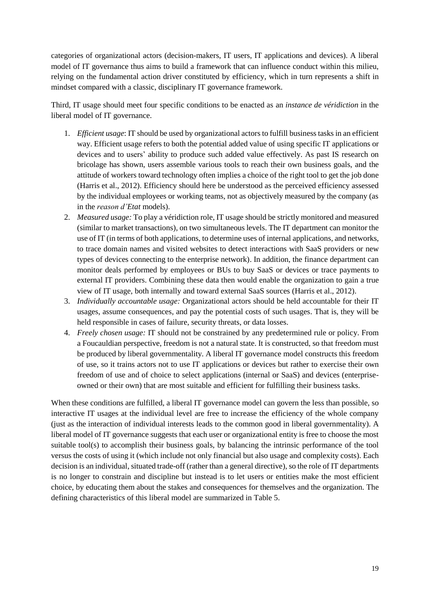categories of organizational actors (decision-makers, IT users, IT applications and devices). A liberal model of IT governance thus aims to build a framework that can influence conduct within this milieu, relying on the fundamental action driver constituted by efficiency, which in turn represents a shift in mindset compared with a classic, disciplinary IT governance framework.

Third, IT usage should meet four specific conditions to be enacted as an *instance de véridiction* in the liberal model of IT governance.

- 1. *Efficient usage*: IT should be used by organizational actors to fulfill business tasks in an efficient way. Efficient usage refers to both the potential added value of using specific IT applications or devices and to users' ability to produce such added value effectively. As past IS research on bricolage has shown, users assemble various tools to reach their own business goals, and the attitude of workers toward technology often implies a choice of the right tool to get the job done (Harris et al., 2012). Efficiency should here be understood as the perceived efficiency assessed by the individual employees or working teams, not as objectively measured by the company (as in the *reason d'Etat* models).
- 2. *Measured usage:* To play a véridiction role, IT usage should be strictly monitored and measured (similar to market transactions), on two simultaneous levels. The IT department can monitor the use of IT (in terms of both applications, to determine uses of internal applications, and networks, to trace domain names and visited websites to detect interactions with SaaS providers or new types of devices connecting to the enterprise network). In addition, the finance department can monitor deals performed by employees or BUs to buy SaaS or devices or trace payments to external IT providers. Combining these data then would enable the organization to gain a true view of IT usage, both internally and toward external SaaS sources (Harris et al., 2012).
- 3. *Individually accountable usage:* Organizational actors should be held accountable for their IT usages, assume consequences, and pay the potential costs of such usages. That is, they will be held responsible in cases of failure, security threats, or data losses.
- 4. *Freely chosen usage:* IT should not be constrained by any predetermined rule or policy. From a Foucauldian perspective, freedom is not a natural state. It is constructed, so that freedom must be produced by liberal governmentality. A liberal IT governance model constructs this freedom of use, so it trains actors not to use IT applications or devices but rather to exercise their own freedom of use and of choice to select applications (internal or SaaS) and devices (enterpriseowned or their own) that are most suitable and efficient for fulfilling their business tasks.

When these conditions are fulfilled, a liberal IT governance model can govern the less than possible, so interactive IT usages at the individual level are free to increase the efficiency of the whole company (just as the interaction of individual interests leads to the common good in liberal governmentality). A liberal model of IT governance suggests that each user or organizational entity is free to choose the most suitable tool(s) to accomplish their business goals, by balancing the intrinsic performance of the tool versus the costs of using it (which include not only financial but also usage and complexity costs). Each decision is an individual, situated trade-off (rather than a general directive), so the role of IT departments is no longer to constrain and discipline but instead is to let users or entities make the most efficient choice, by educating them about the stakes and consequences for themselves and the organization. The defining characteristics of this liberal model are summarized in Table 5.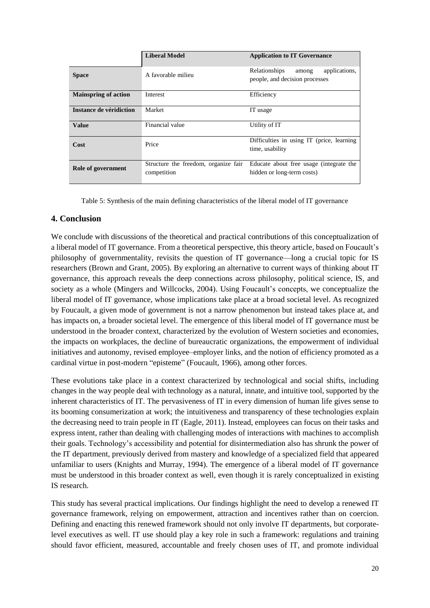|                             | <b>Liberal Model</b>                                | <b>Application to IT Governance</b>                                       |  |  |
|-----------------------------|-----------------------------------------------------|---------------------------------------------------------------------------|--|--|
| <b>Space</b>                | A favorable milieu                                  | Relationships<br>applications,<br>among<br>people, and decision processes |  |  |
| <b>Mainspring of action</b> | Interest                                            | Efficiency                                                                |  |  |
| Instance de véridiction     | Market                                              | IT usage                                                                  |  |  |
| Value                       | Financial value                                     | Utility of IT                                                             |  |  |
| Cost                        | Price                                               | Difficulties in using IT (price, learning<br>time, usability              |  |  |
| Role of government          | Structure the freedom, organize fair<br>competition | Educate about free usage (integrate the<br>hidden or long-term costs)     |  |  |

Table 5: Synthesis of the main defining characteristics of the liberal model of IT governance

# **4. Conclusion**

We conclude with discussions of the theoretical and practical contributions of this conceptualization of a liberal model of IT governance. From a theoretical perspective, this theory article, based on Foucault's philosophy of governmentality, revisits the question of IT governance—long a crucial topic for IS researchers (Brown and Grant, 2005). By exploring an alternative to current ways of thinking about IT governance, this approach reveals the deep connections across philosophy, political science, IS, and society as a whole (Mingers and Willcocks, 2004). Using Foucault's concepts, we conceptualize the liberal model of IT governance, whose implications take place at a broad societal level. As recognized by Foucault, a given mode of government is not a narrow phenomenon but instead takes place at, and has impacts on, a broader societal level. The emergence of this liberal model of IT governance must be understood in the broader context, characterized by the evolution of Western societies and economies, the impacts on workplaces, the decline of bureaucratic organizations, the empowerment of individual initiatives and autonomy, revised employee–employer links, and the notion of efficiency promoted as a cardinal virtue in post-modern "episteme" (Foucault, 1966), among other forces.

These evolutions take place in a context characterized by technological and social shifts, including changes in the way people deal with technology as a natural, innate, and intuitive tool, supported by the inherent characteristics of IT. The pervasiveness of IT in every dimension of human life gives sense to its booming consumerization at work; the intuitiveness and transparency of these technologies explain the decreasing need to train people in IT (Eagle, 2011). Instead, employees can focus on their tasks and express intent, rather than dealing with challenging modes of interactions with machines to accomplish their goals. Technology's accessibility and potential for disintermediation also has shrunk the power of the IT department, previously derived from mastery and knowledge of a specialized field that appeared unfamiliar to users (Knights and Murray, 1994). The emergence of a liberal model of IT governance must be understood in this broader context as well, even though it is rarely conceptualized in existing IS research.

This study has several practical implications. Our findings highlight the need to develop a renewed IT governance framework, relying on empowerment, attraction and incentives rather than on coercion. Defining and enacting this renewed framework should not only involve IT departments, but corporatelevel executives as well. IT use should play a key role in such a framework: regulations and training should favor efficient, measured, accountable and freely chosen uses of IT, and promote individual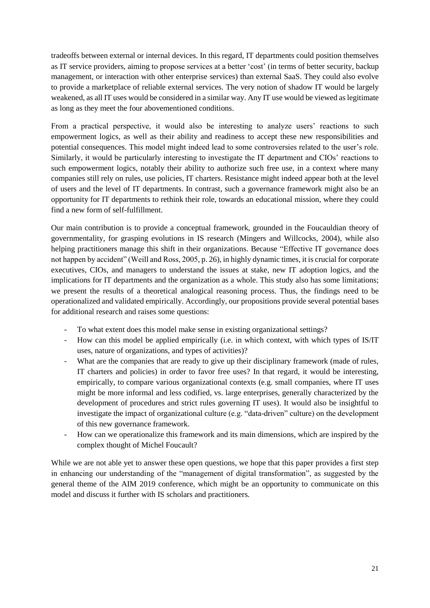tradeoffs between external or internal devices. In this regard, IT departments could position themselves as IT service providers, aiming to propose services at a better 'cost' (in terms of better security, backup management, or interaction with other enterprise services) than external SaaS. They could also evolve to provide a marketplace of reliable external services. The very notion of shadow IT would be largely weakened, as all IT uses would be considered in a similar way. Any IT use would be viewed as legitimate as long as they meet the four abovementioned conditions.

From a practical perspective, it would also be interesting to analyze users' reactions to such empowerment logics, as well as their ability and readiness to accept these new responsibilities and potential consequences. This model might indeed lead to some controversies related to the user's role. Similarly, it would be particularly interesting to investigate the IT department and CIOs' reactions to such empowerment logics, notably their ability to authorize such free use, in a context where many companies still rely on rules, use policies, IT charters. Resistance might indeed appear both at the level of users and the level of IT departments. In contrast, such a governance framework might also be an opportunity for IT departments to rethink their role, towards an educational mission, where they could find a new form of self-fulfillment.

Our main contribution is to provide a conceptual framework, grounded in the Foucauldian theory of governmentality, for grasping evolutions in IS research (Mingers and Willcocks, 2004), while also helping practitioners manage this shift in their organizations. Because "Effective IT governance does not happen by accident" (Weill and Ross, 2005, p. 26), in highly dynamic times, it is crucial for corporate executives, CIOs, and managers to understand the issues at stake, new IT adoption logics, and the implications for IT departments and the organization as a whole. This study also has some limitations; we present the results of a theoretical analogical reasoning process. Thus, the findings need to be operationalized and validated empirically. Accordingly, our propositions provide several potential bases for additional research and raises some questions:

- To what extent does this model make sense in existing organizational settings?
- How can this model be applied empirically (i.e. in which context, with which types of IS/IT uses, nature of organizations, and types of activities)?
- What are the companies that are ready to give up their disciplinary framework (made of rules, IT charters and policies) in order to favor free uses? In that regard, it would be interesting, empirically, to compare various organizational contexts (e.g. small companies, where IT uses might be more informal and less codified, vs. large enterprises, generally characterized by the development of procedures and strict rules governing IT uses). It would also be insightful to investigate the impact of organizational culture (e.g. "data-driven" culture) on the development of this new governance framework.
- How can we operationalize this framework and its main dimensions, which are inspired by the complex thought of Michel Foucault?

While we are not able yet to answer these open questions, we hope that this paper provides a first step in enhancing our understanding of the "management of digital transformation", as suggested by the general theme of the AIM 2019 conference, which might be an opportunity to communicate on this model and discuss it further with IS scholars and practitioners.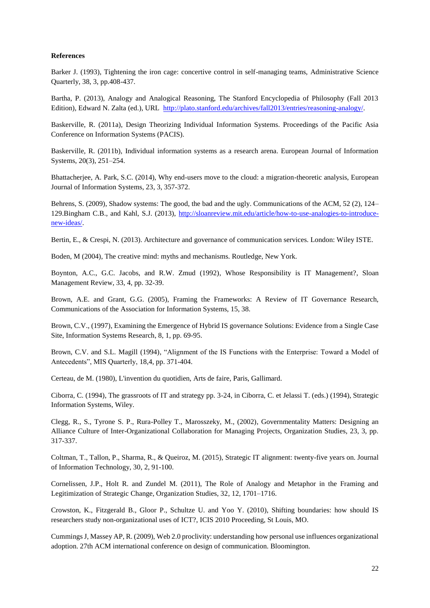#### **References**

Barker J. (1993), Tightening the iron cage: concertive control in self-managing teams, Administrative Science Quarterly, 38, 3, pp.408-437.

Bartha, P. (2013), Analogy and Analogical Reasoning, The Stanford Encyclopedia of Philosophy (Fall 2013 Edition), Edward N. Zalta (ed.), URL [http://plato.stanford.edu/archives/fall2013/entries/reasoning-analogy/.](http://plato.stanford.edu/archives/fall2013/entries/reasoning-analogy/)

Baskerville, R. (2011a), Design Theorizing Individual Information Systems. Proceedings of the Pacific Asia Conference on Information Systems (PACIS).

Baskerville, R. (2011b), Individual information systems as a research arena. European Journal of Information Systems, 20(3), 251–254.

Bhattacherjee, A. Park, S.C. (2014), Why end-users move to the cloud: a migration-theoretic analysis, European Journal of Information Systems, 23, 3, 357-372.

Behrens, S. (2009), Shadow systems: The good, the bad and the ugly. Communications of the ACM, 52 (2), 124– 129.Bingham C.B., and Kahl, S.J. (2013), [http://sloanreview.mit.edu/article/how-to-use-analogies-to-introduce](http://sloanreview.mit.edu/article/how-to-use-analogies-to-introduce-new-ideas/)[new-ideas/.](http://sloanreview.mit.edu/article/how-to-use-analogies-to-introduce-new-ideas/)

Bertin, E., & Crespi, N. (2013). Architecture and governance of communication services. London: Wiley ISTE.

Boden, M (2004), The creative mind: myths and mechanisms. Routledge, New York.

Boynton, A.C., G.C. Jacobs, and R.W. Zmud (1992), Whose Responsibility is IT Management?, Sloan Management Review, 33, 4, pp. 32-39.

Brown, A.E. and Grant, G.G. (2005), Framing the Frameworks: A Review of IT Governance Research, Communications of the Association for Information Systems, 15, 38.

Brown, C.V., (1997), Examining the Emergence of Hybrid IS governance Solutions: Evidence from a Single Case Site, Information Systems Research, 8, 1, pp. 69-95.

Brown, C.V. and S.L. Magill (1994), "Alignment of the IS Functions with the Enterprise: Toward a Model of Antecedents", MIS Quarterly, 18,4, pp. 371-404.

Certeau, de M. (1980), L'invention du quotidien, Arts de faire, Paris, Gallimard.

Ciborra, C. (1994), The grassroots of IT and strategy pp. 3-24, in Ciborra, C. et Jelassi T. (eds.) (1994), Strategic Information Systems, Wiley.

Clegg, R., S., Tyrone S. P., Rura-Polley T., Marosszeky, M., (2002), Governmentality Matters: Designing an Alliance Culture of Inter-Organizational Collaboration for Managing Projects, Organization Studies, 23, 3, pp. 317-337.

Coltman, T., Tallon, P., Sharma, R., & Queiroz, M. (2015), Strategic IT alignment: twenty-five years on. Journal of Information Technology, 30, 2, 91-100.

Cornelissen, J.P., Holt R. and Zundel M. (2011), The Role of Analogy and Metaphor in the Framing and Legitimization of Strategic Change, Organization Studies, 32, 12, 1701–1716.

Crowston, K., Fitzgerald B., Gloor P., Schultze U. and Yoo Y. (2010), Shifting boundaries: how should IS researchers study non-organizational uses of ICT?, ICIS 2010 Proceeding, St Louis, MO.

Cummings J, Massey AP, R. (2009), Web 2.0 proclivity: understanding how personal use influences organizational adoption. 27th ACM international conference on design of communication. Bloomington.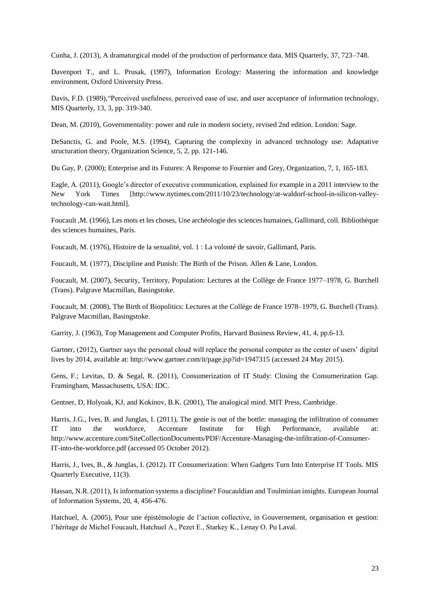Cunha, J. (2013), A dramaturgical model of the production of performance data. MIS Quarterly, 37, 723–748.

Davenport T., and L. Prusak, (1997), Information Ecology: Mastering the information and knowledge environment, Oxford University Press.

Davis, F.D. (1989),"Perceived usefulness, perceived ease of use, and user acceptance of information technology, MIS Quarterly, 13, 3, pp. 319-340.

Dean, M. (2010), Governmentality: power and rule in modern society, revised 2nd edition. London: Sage.

DeSanctis, G. and Poole, M.S. (1994), Capturing the complexity in advanced technology use: Adaptative structuration theory, Organization Science, 5, 2, pp. 121-146.

Du Gay, P. (2000); Enterprise and its Futures: A Response to Fournier and Grey, Organization, 7, 1, 165-183.

Eagle, A. (2011), Google's director of executive communication, explained for example in a 2011 interview to the New York Times [http://www.nytimes.com/2011/10/23/technology/at-waldorf-school-in-silicon-valleytechnology-can-wait.html].

Foucault ,M. (1966), Les mots et les choses, Une archéologie des sciences humaines, Gallimard, coll. Bibliothèque des sciences humaines, Paris.

Foucault, M. (1976), Histoire de la sexualité, vol. 1 : La volonté de savoir, Gallimard, Paris.

Foucault, M. (1977), Discipline and Punish: The Birth of the Prison. Allen & Lane, London.

Foucault, M. (2007), Security, Territory, Population: Lectures at the Collège de France 1977–1978, G. Burchell (Trans). Palgrave Macmillan, Basingstoke.

Foucault, M. (2008), The Birth of Biopolitics: Lectures at the Collège de France 1978–1979, G. Burchell (Trans). Palgrave Macmillan, Basingstoke.

Garrity, J. (1963), Top Management and Computer Profits, Harvard Business Review, 41, 4, pp.6-13.

Gartner, (2012), Gartner says the personal cloud will replace the personal computer as the center of users' digital lives by 2014, available at: http://www.gartner.com/it/page.jsp?id=1947315 (accessed 24 May 2015).

Gens, F.; Levitas, D. & Segal, R. (2011), Consumerization of IT Study: Closing the Consumerization Gap. Framingham, Massachusetts, USA: IDC.

Gentner, D, Holyoak, KJ, and Kokinov, B.K. (2001), The analogical mind. MIT Press, Cambridge.

Harris, J.G., Ives, B. and Junglas, I. (2011), The genie is out of the bottle: managing the infiltration of consumer IT into the workforce, Accenture Institute for High Performance, available at: http://www.accenture.com/SiteCollectionDocuments/PDF/Accenture-Managing-the-infiltration-of-Consumer-IT-into-the-workforce.pdf (accessed 05 October 2012).

Harris, J., Ives, B., & Junglas, I. (2012). IT Consumerization: When Gadgets Turn Into Enterprise IT Tools. MIS Quarterly Executive, 11(3).

Hassan, N.R. (2011), Is information systems a discipline? Foucauldian and Toulminian insights. European Journal of Information Systems, 20, 4, 456-476.

Hatchuel, A. (2005), Pour une épistémologie de l'action collective, in Gouvernement, organisation et gestion: l'héritage de Michel Foucault, Hatchuel A., Pezet E., Starkey K., Lenay O. Pu Laval.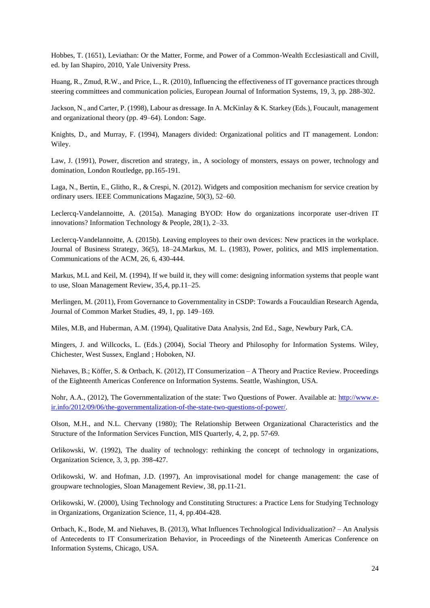Hobbes, T. (1651), Leviathan: Or the Matter, Forme, and Power of a Common-Wealth Ecclesiasticall and Civill, ed. by Ian Shapiro, 2010, Yale University Press.

Huang, R., Zmud, R.W., and Price, L., R. (2010), Influencing the effectiveness of IT governance practices through steering committees and communication policies, European Journal of Information Systems, 19, 3, pp. 288-302.

Jackson, N., and Carter, P. (1998), Labour as dressage. In A. McKinlay & K. Starkey (Eds.), Foucault, management and organizational theory (pp. 49–64). London: Sage.

Knights, D., and Murray, F. (1994), Managers divided: Organizational politics and IT management. London: Wiley.

Law, J. (1991), Power, discretion and strategy, in., A sociology of monsters, essays on power, technology and domination, London Routledge, pp.165-191.

Laga, N., Bertin, E., Glitho, R., & Crespi, N. (2012). Widgets and composition mechanism for service creation by ordinary users. IEEE Communications Magazine, 50(3), 52–60.

Leclercq-Vandelannoitte, A. (2015a). Managing BYOD: How do organizations incorporate user-driven IT innovations? Information Technology & People, 28(1), 2–33.

Leclercq-Vandelannoitte, A. (2015b). Leaving employees to their own devices: New practices in the workplace. Journal of Business Strategy, 36(5), 18–24.Markus, M. L. (1983), Power, politics, and MIS implementation. Communications of the ACM, 26, 6, 430-444.

Markus, M.L and Keil, M. (1994), If we build it, they will come: designing information systems that people want to use, Sloan Management Review, 35,4, pp.11–25.

Merlingen, M. (2011), From Governance to Governmentality in CSDP: Towards a Foucauldian Research Agenda, Journal of Common Market Studies, 49, 1, pp. 149–169.

Miles, M.B, and Huberman, A.M. (1994), Qualitative Data Analysis, 2nd Ed., Sage, Newbury Park, CA.

Mingers, J. and Willcocks, L. (Eds.) (2004), Social Theory and Philosophy for Information Systems. Wiley, Chichester, West Sussex, England ; Hoboken, NJ.

Niehaves, B.; Köffer, S. & Ortbach, K. (2012), IT Consumerization – A Theory and Practice Review. Proceedings of the Eighteenth Americas Conference on Information Systems. Seattle, Washington, USA.

Nohr, A.A., (2012), The Governmentalization of the state: Two Questions of Power. Available at: [http://www.e](http://www.e-ir.info/2012/09/06/the-governmentalization-of-the-state-two-questions-of-power/)[ir.info/2012/09/06/the-governmentalization-of-the-state-two-questions-of-power/.](http://www.e-ir.info/2012/09/06/the-governmentalization-of-the-state-two-questions-of-power/)

Olson, M.H., and N.L. Chervany (1980); The Relationship Between Organizational Characteristics and the Structure of the Information Services Function, MIS Quarterly, 4, 2, pp. 57-69.

Orlikowski, W. (1992), The duality of technology: rethinking the concept of technology in organizations, Organization Science, 3, 3, pp. 398-427.

Orlikowski, W. and Hofman, J.D. (1997), An improvisational model for change management: the case of groupware technologies, Sloan Management Review, 38, pp.11-21.

Orlikowski, W. (2000), Using Technology and Constituting Structures: a Practice Lens for Studying Technology in Organizations, Organization Science, 11, 4, pp.404-428.

Ortbach, K., Bode, M. and Niehaves, B. (2013), What Influences Technological Individualization? – An Analysis of Antecedents to IT Consumerization Behavior, in Proceedings of the Nineteenth Americas Conference on Information Systems, Chicago, USA.